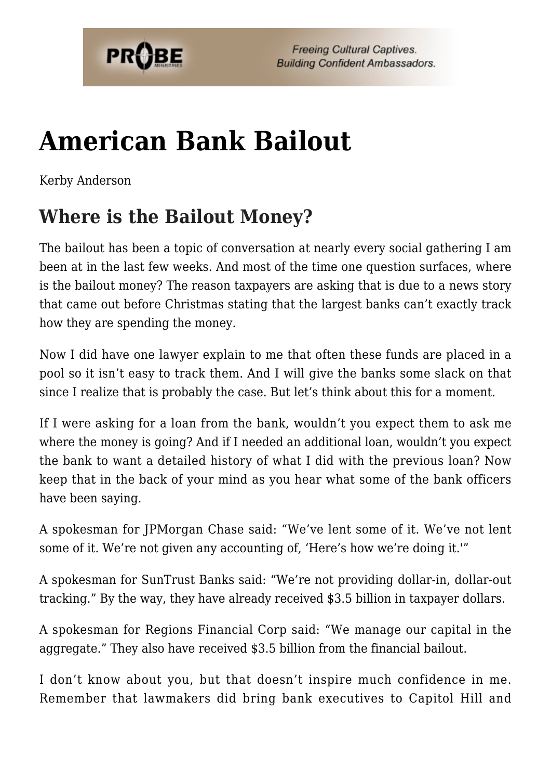

# **[American Bank Bailout](https://probe.org/american-bank-bailout/)**

Kerby Anderson

## **Where is the Bailout Money?**

The bailout has been a topic of conversation at nearly every social gathering I am been at in the last few weeks. And most of the time one question surfaces, where is the bailout money? The reason taxpayers are asking that is due to a news story that came out before Christmas stating that the largest banks can't exactly track how they are spending the money.

Now I did have one lawyer explain to me that often these funds are placed in a pool so it isn't easy to track them. And I will give the banks some slack on that since I realize that is probably the case. But let's think about this for a moment.

If I were asking for a loan from the bank, wouldn't you expect them to ask me where the money is going? And if I needed an additional loan, wouldn't you expect the bank to want a detailed history of what I did with the previous loan? Now keep that in the back of your mind as you hear what some of the bank officers have been saying.

A spokesman for JPMorgan Chase said: "We've lent some of it. We've not lent some of it. We're not given any accounting of, 'Here's how we're doing it.'"

A spokesman for SunTrust Banks said: "We're not providing dollar-in, dollar-out tracking." By the way, they have already received \$3.5 billion in taxpayer dollars.

A spokesman for Regions Financial Corp said: "We manage our capital in the aggregate." They also have received \$3.5 billion from the financial bailout.

I don't know about you, but that doesn't inspire much confidence in me. Remember that lawmakers did bring bank executives to Capitol Hill and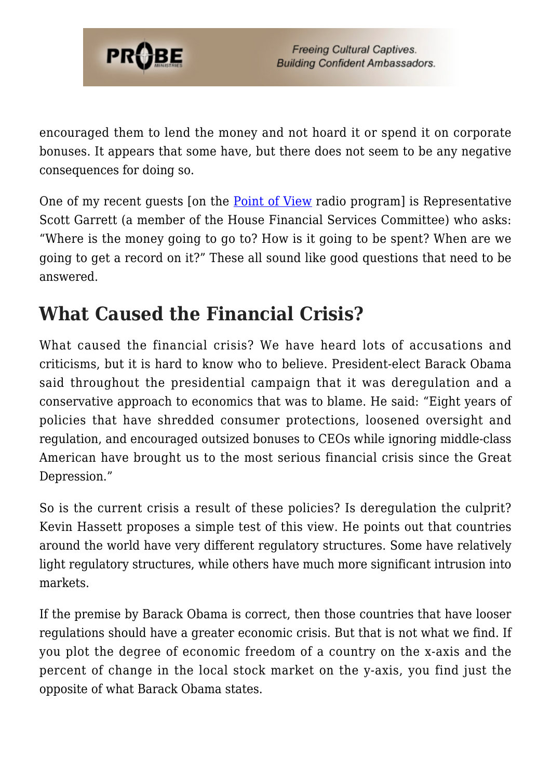

encouraged them to lend the money and not hoard it or spend it on corporate bonuses. It appears that some have, but there does not seem to be any negative consequences for doing so.

One of my recent guests [on the [Point of View](http://www.pointofview.net) radio program] is Representative Scott Garrett (a member of the House Financial Services Committee) who asks: "Where is the money going to go to? How is it going to be spent? When are we going to get a record on it?" These all sound like good questions that need to be answered.

## **What Caused the Financial Crisis?**

What caused the financial crisis? We have heard lots of accusations and criticisms, but it is hard to know who to believe. President-elect Barack Obama said throughout the presidential campaign that it was deregulation and a conservative approach to economics that was to blame. He said: "Eight years of policies that have shredded consumer protections, loosened oversight and regulation, and encouraged outsized bonuses to CEOs while ignoring middle-class American have brought us to the most serious financial crisis since the Great Depression."

So is the current crisis a result of these policies? Is deregulation the culprit? Kevin Hassett proposes a simple test of this view. He points out that countries around the world have very different regulatory structures. Some have relatively light regulatory structures, while others have much more significant intrusion into markets.

If the premise by Barack Obama is correct, then those countries that have looser regulations should have a greater economic crisis. But that is not what we find. If you plot the degree of economic freedom of a country on the x-axis and the percent of change in the local stock market on the y-axis, you find just the opposite of what Barack Obama states.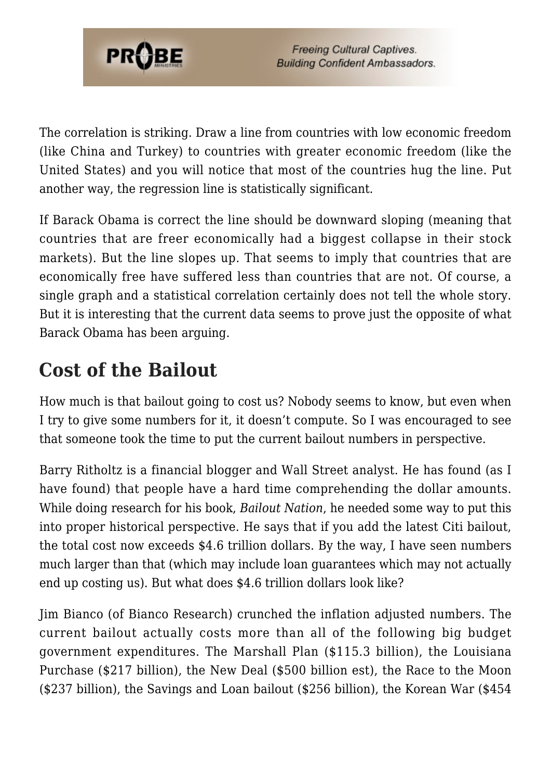

The correlation is striking. Draw a line from countries with low economic freedom (like China and Turkey) to countries with greater economic freedom (like the United States) and you will notice that most of the countries hug the line. Put another way, the regression line is statistically significant.

If Barack Obama is correct the line should be downward sloping (meaning that countries that are freer economically had a biggest collapse in their stock markets). But the line slopes up. That seems to imply that countries that are economically free have suffered less than countries that are not. Of course, a single graph and a statistical correlation certainly does not tell the whole story. But it is interesting that the current data seems to prove just the opposite of what Barack Obama has been arguing.

# **Cost of the Bailout**

How much is that bailout going to cost us? Nobody seems to know, but even when I try to give some numbers for it, it doesn't compute. So I was encouraged to see that someone took the time to put the current bailout numbers in perspective.

Barry Ritholtz is a financial blogger and Wall Street analyst. He has found (as I have found) that people have a hard time comprehending the dollar amounts. While doing research for his book, *Bailout Nation*, he needed some way to put this into proper historical perspective. He says that if you add the latest Citi bailout, the total cost now exceeds \$4.6 trillion dollars. By the way, I have seen numbers much larger than that (which may include loan guarantees which may not actually end up costing us). But what does \$4.6 trillion dollars look like?

Jim Bianco (of Bianco Research) crunched the inflation adjusted numbers. The current bailout actually costs more than all of the following big budget government expenditures. The Marshall Plan (\$115.3 billion), the Louisiana Purchase (\$217 billion), the New Deal (\$500 billion est), the Race to the Moon (\$237 billion), the Savings and Loan bailout (\$256 billion), the Korean War (\$454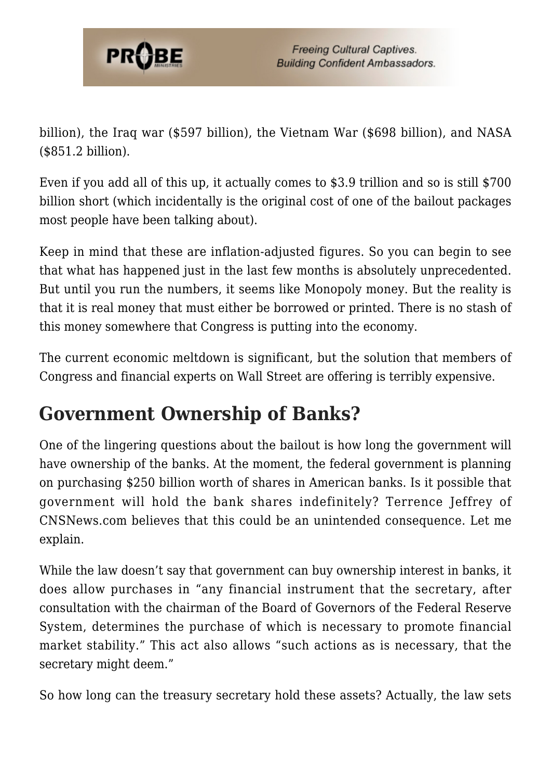

billion), the Iraq war (\$597 billion), the Vietnam War (\$698 billion), and NASA (\$851.2 billion).

Even if you add all of this up, it actually comes to \$3.9 trillion and so is still \$700 billion short (which incidentally is the original cost of one of the bailout packages most people have been talking about).

Keep in mind that these are inflation-adjusted figures. So you can begin to see that what has happened just in the last few months is absolutely unprecedented. But until you run the numbers, it seems like Monopoly money. But the reality is that it is real money that must either be borrowed or printed. There is no stash of this money somewhere that Congress is putting into the economy.

The current economic meltdown is significant, but the solution that members of Congress and financial experts on Wall Street are offering is terribly expensive.

### **Government Ownership of Banks?**

One of the lingering questions about the bailout is how long the government will have ownership of the banks. At the moment, the federal government is planning on purchasing \$250 billion worth of shares in American banks. Is it possible that government will hold the bank shares indefinitely? Terrence Jeffrey of CNSNews.com believes that this could be an unintended consequence. Let me explain.

While the law doesn't say that government can buy ownership interest in banks, it does allow purchases in "any financial instrument that the secretary, after consultation with the chairman of the Board of Governors of the Federal Reserve System, determines the purchase of which is necessary to promote financial market stability." This act also allows "such actions as is necessary, that the secretary might deem."

So how long can the treasury secretary hold these assets? Actually, the law sets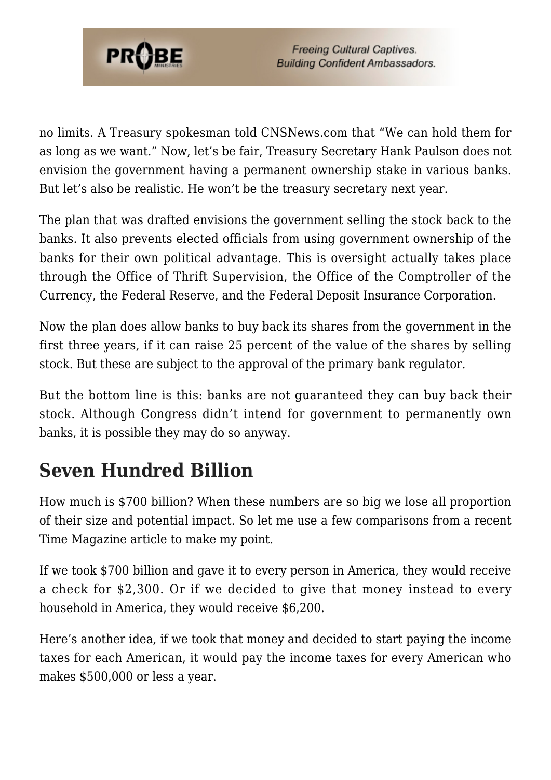

no limits. A Treasury spokesman told CNSNews.com that "We can hold them for as long as we want." Now, let's be fair, Treasury Secretary Hank Paulson does not envision the government having a permanent ownership stake in various banks. But let's also be realistic. He won't be the treasury secretary next year.

The plan that was drafted envisions the government selling the stock back to the banks. It also prevents elected officials from using government ownership of the banks for their own political advantage. This is oversight actually takes place through the Office of Thrift Supervision, the Office of the Comptroller of the Currency, the Federal Reserve, and the Federal Deposit Insurance Corporation.

Now the plan does allow banks to buy back its shares from the government in the first three years, if it can raise 25 percent of the value of the shares by selling stock. But these are subject to the approval of the primary bank regulator.

But the bottom line is this: banks are not guaranteed they can buy back their stock. Although Congress didn't intend for government to permanently own banks, it is possible they may do so anyway.

### **Seven Hundred Billion**

How much is \$700 billion? When these numbers are so big we lose all proportion of their size and potential impact. So let me use a few comparisons from a recent Time Magazine article to make my point.

If we took \$700 billion and gave it to every person in America, they would receive a check for \$2,300. Or if we decided to give that money instead to every household in America, they would receive \$6,200.

Here's another idea, if we took that money and decided to start paying the income taxes for each American, it would pay the income taxes for every American who makes \$500,000 or less a year.